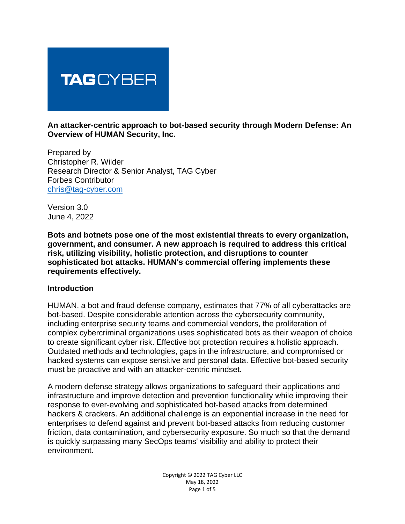

**An attacker-centric approach to bot-based security through Modern Defense: An Overview of HUMAN Security, Inc.**

Prepared by Christopher R. Wilder Research Director & Senior Analyst, TAG Cyber Forbes Contributor [chris@tag-cyber.com](mailto:chris@tag-cyber.com)

Version 3.0 June 4, 2022

**Bots and botnets pose one of the most existential threats to every organization, government, and consumer. A new approach is required to address this critical risk, utilizing visibility, holistic protection, and disruptions to counter sophisticated bot attacks. HUMAN's commercial offering implements these requirements effectively.**

### **Introduction**

HUMAN, a bot and fraud defense company, estimates that 77% of all cyberattacks are bot-based. Despite considerable attention across the cybersecurity community, including enterprise security teams and commercial vendors, the proliferation of complex cybercriminal organizations uses sophisticated bots as their weapon of choice to create significant cyber risk. Effective bot protection requires a holistic approach. Outdated methods and technologies, gaps in the infrastructure, and compromised or hacked systems can expose sensitive and personal data. Effective bot-based security must be proactive and with an attacker-centric mindset.

A modern defense strategy allows organizations to safeguard their applications and infrastructure and improve detection and prevention functionality while improving their response to ever-evolving and sophisticated bot-based attacks from determined hackers & crackers. An additional challenge is an exponential increase in the need for enterprises to defend against and prevent bot-based attacks from reducing customer friction, data contamination, and cybersecurity exposure. So much so that the demand is quickly surpassing many SecOps teams' visibility and ability to protect their environment.

> Copyright © 2022 TAG Cyber LLC May 18, 2022 Page 1 of 5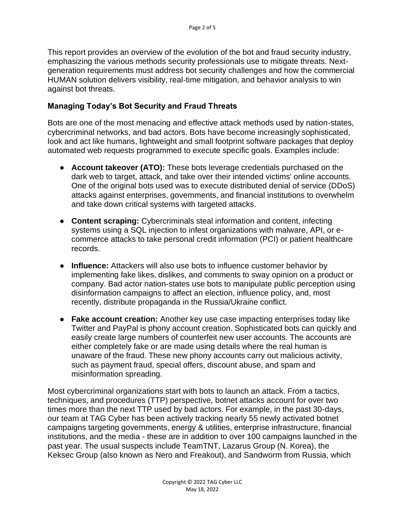This report provides an overview of the evolution of the bot and fraud security industry, emphasizing the various methods security professionals use to mitigate threats. Nextgeneration requirements must address bot security challenges and how the commercial HUMAN solution delivers visibility, real-time mitigation, and behavior analysis to win against bot threats.

# **Managing Today's Bot Security and Fraud Threats**

Bots are one of the most menacing and effective attack methods used by nation-states, cybercriminal networks, and bad actors. Bots have become increasingly sophisticated, look and act like humans, lightweight and small footprint software packages that deploy automated web requests programmed to execute specific goals. Examples include:

- **Account takeover (ATO):** These bots leverage credentials purchased on the dark web to target, attack, and take over their intended victims' online accounts. One of the original bots used was to execute distributed denial of service (DDoS) attacks against enterprises, governments, and financial institutions to overwhelm and take down critical systems with targeted attacks.
- **Content scraping:** Cybercriminals steal information and content, infecting systems using a SQL injection to infest organizations with malware, API, or ecommerce attacks to take personal credit information (PCI) or patient healthcare records.
- **Influence:** Attackers will also use bots to influence customer behavior by implementing fake likes, dislikes, and comments to sway opinion on a product or company. Bad actor nation-states use bots to manipulate public perception using disinformation campaigns to affect an election, influence policy, and, most recently, distribute propaganda in the Russia/Ukraine conflict.
- **Fake account creation:** Another key use case impacting enterprises today like Twitter and PayPal is phony account creation. Sophisticated bots can quickly and easily create large numbers of counterfeit new user accounts. The accounts are either completely fake or are made using details where the real human is unaware of the fraud. These new phony accounts carry out malicious activity, such as payment fraud, special offers, discount abuse, and spam and misinformation spreading.

Most cybercriminal organizations start with bots to launch an attack. From a tactics, techniques, and procedures (TTP) perspective, botnet attacks account for over two times more than the next TTP used by bad actors. For example, in the past 30-days, our team at TAG Cyber has been actively tracking nearly 55 newly activated botnet campaigns targeting governments, energy & utilities, enterprise infrastructure, financial institutions, and the media - these are in addition to over 100 campaigns launched in the past year. The usual suspects include TeamTNT, Lazarus Group (N. Korea), the Keksec Group (also known as Nero and Freakout), and Sandworm from Russia, which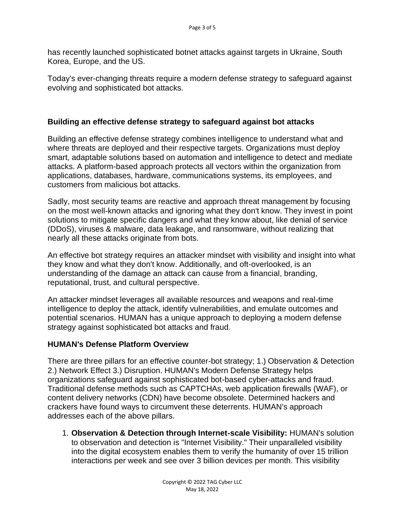has recently launched sophisticated botnet attacks against targets in Ukraine, South Korea, Europe, and the US.

Today's ever-changing threats require a modern defense strategy to safeguard against evolving and sophisticated bot attacks.

# **Building an effective defense strategy to safeguard against bot attacks**

Building an effective defense strategy combines intelligence to understand what and where threats are deployed and their respective targets. Organizations must deploy smart, adaptable solutions based on automation and intelligence to detect and mediate attacks. A platform-based approach protects all vectors within the organization from applications, databases, hardware, communications systems, its employees, and customers from malicious bot attacks.

Sadly, most security teams are reactive and approach threat management by focusing on the most well-known attacks and ignoring what they don't know. They invest in point solutions to mitigate specific dangers and what they know about, like denial of service (DDoS), viruses & malware, data leakage, and ransomware, without realizing that nearly all these attacks originate from bots.

An effective bot strategy requires an attacker mindset with visibility and insight into what they know and what they don't know. Additionally, and oft-overlooked, is an understanding of the damage an attack can cause from a financial, branding, reputational, trust, and cultural perspective.

An attacker mindset leverages all available resources and weapons and real-time intelligence to deploy the attack, identify vulnerabilities, and emulate outcomes and potential scenarios. HUMAN has a unique approach to deploying a modern defense strategy against sophisticated bot attacks and fraud.

# **HUMAN's Defense Platform Overview**

There are three pillars for an effective counter-bot strategy; 1.) Observation & Detection 2.) Network Effect 3.) Disruption. HUMAN's Modern Defense Strategy helps organizations safeguard against sophisticated bot-based cyber-attacks and fraud. Traditional defense methods such as CAPTCHAs, web application firewalls (WAF), or content delivery networks (CDN) have become obsolete. Determined hackers and crackers have found ways to circumvent these deterrents. HUMAN's approach addresses each of the above pillars.

1. **Observation & Detection through Internet-scale Visibility:** HUMAN's solution to observation and detection is "Internet Visibility." Their unparalleled visibility into the digital ecosystem enables them to verify the humanity of over 15 trillion interactions per week and see over 3 billion devices per month. This visibility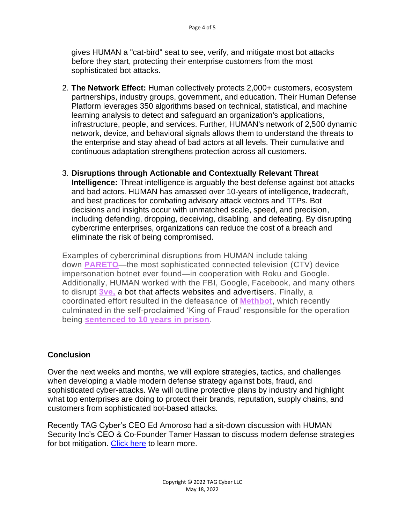gives HUMAN a "cat-bird" seat to see, verify, and mitigate most bot attacks before they start, protecting their enterprise customers from the most sophisticated bot attacks.

- 2. **The Network Effect:** Human collectively protects 2,000+ customers, ecosystem partnerships, industry groups, government, and education. Their Human Defense Platform leverages 350 algorithms based on technical, statistical, and machine learning analysis to detect and safeguard an organization's applications, infrastructure, people, and services. Further, HUMAN's network of 2,500 dynamic network, device, and behavioral signals allows them to understand the threats to the enterprise and stay ahead of bad actors at all levels. Their cumulative and continuous adaptation strengthens protection across all customers.
- 3. **Disruptions through Actionable and Contextually Relevant Threat Intelligence:** Threat intelligence is arguably the best defense against bot attacks and bad actors. HUMAN has amassed over 10-years of intelligence, tradecraft, and best practices for combating advisory attack vectors and TTPs. Bot decisions and insights occur with unmatched scale, speed, and precision, including defending, dropping, deceiving, disabling, and defeating. By disrupting cybercrime enterprises, organizations can reduce the cost of a breach and eliminate the risk of being compromised.

Examples of cybercriminal disruptions from HUMAN include taking down **[PARETO](https://www.humansecurity.com/pareto)**—the most sophisticated connected television (CTV) device impersonation botnet ever found—in cooperation with Roku and Google. Additionally, HUMAN worked with the FBI, Google, Facebook, and many others to disrupt **[3ve,](https://resources.humansecurity.com/home/the-hunt-for-3ve)** a bot that affects websites and advertisers. Finally, a coordinated effort resulted in the defeasance of **[Methbot](https://www.humansecurity.com/blog/methbot-then-and-now)**, which recently culminated in the self-proclaimed 'King of Fraud' responsible for the operation being **[sentenced to 10 years in prison](https://www.humansecurity.com/blog/the-sentencing-of-the-king-of-fraud-and-the-birth-of-collective-protection)**.

# **Conclusion**

Over the next weeks and months, we will explore strategies, tactics, and challenges when developing a viable modern defense strategy against bots, fraud, and sophisticated cyber-attacks. We will outline protective plans by industry and highlight what top enterprises are doing to protect their brands, reputation, supply chains, and customers from sophisticated bot-based attacks.

Recently TAG Cyber's CEO Ed Amoroso had a sit-down discussion with HUMAN Security Inc's CEO & Co-Founder Tamer Hassan to discuss modern defense strategies for bot mitigation. [Click here](https://www.youtube.com/watch?v=3U_3ZYcg1Z4) to learn more.